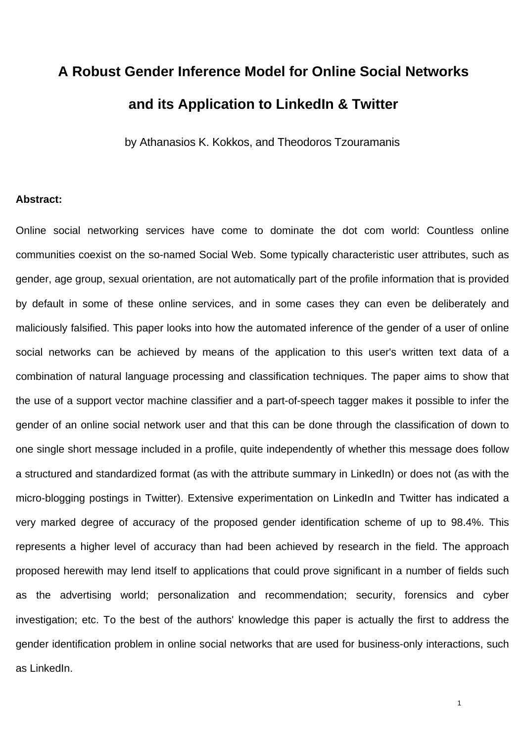## **A Robust Gender Inference Model for Online Social Networks and its Application to LinkedIn & Twitter**

by Athanasios K. Kokkos, and Theodoros Tzouramanis

## **Abstract:**

Online social networking services have come to dominate the dot com world: Countless online communities coexist on the so-named Social Web. Some typically characteristic user attributes, such as gender, age group, sexual orientation, are not automatically part of the profile information that is provided by default in some of these online services, and in some cases they can even be deliberately and maliciously falsified. This paper looks into how the automated inference of the gender of a user of online social networks can be achieved by means of the application to this user's written text data of a combination of natural language processing and classification techniques. The paper aims to show that the use of a support vector machine classifier and a part-of-speech tagger makes it possible to infer the gender of an online social network user and that this can be done through the classification of down to one single short message included in a profile, quite independently of whether this message does follow a structured and standardized format (as with the attribute summary in LinkedIn) or does not (as with the micro-blogging postings in Twitter). Extensive experimentation on LinkedIn and Twitter has indicated a very marked degree of accuracy of the proposed gender identification scheme of up to 98.4%. This represents a higher level of accuracy than had been achieved by research in the field. The approach proposed herewith may lend itself to applications that could prove significant in a number of fields such as the advertising world; personalization and recommendation; security, forensics and cyber investigation; etc. To the best of the authors' knowledge this paper is actually the first to address the gender identification problem in online social networks that are used for business-only interactions, such as LinkedIn.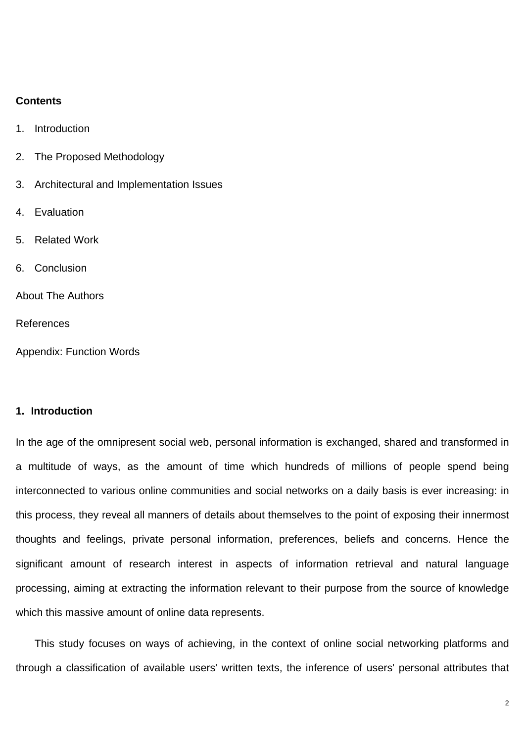### **Contents**

- 1. Introduction
- 2. The Proposed Methodology
- 3. Architectural and Implementation Issues
- 4. Evaluation
- 5. Related Work
- 6. Conclusion

About The Authors

References

Appendix: Function Words

## **1. Introduction**

In the age of the omnipresent social web, personal information is exchanged, shared and transformed in a multitude of ways, as the amount of time which hundreds of millions of people spend being interconnected to various online communities and social networks on a daily basis is ever increasing: in this process, they reveal all manners of details about themselves to the point of exposing their innermost thoughts and feelings, private personal information, preferences, beliefs and concerns. Hence the significant amount of research interest in aspects of information retrieval and natural language processing, aiming at extracting the information relevant to their purpose from the source of knowledge which this massive amount of online data represents.

This study focuses on ways of achieving, in the context of online social networking platforms and through a classification of available users' written texts, the inference of users' personal attributes that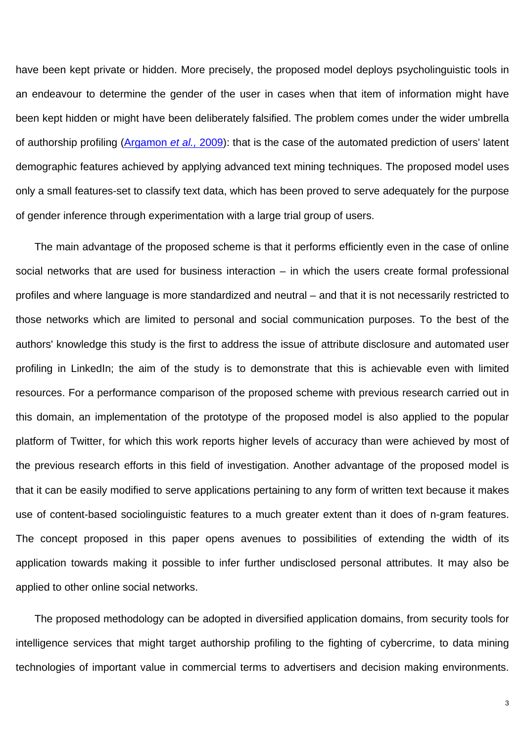have been kept private or hidden. More precisely, the proposed model deploys psycholinguistic tools in an endeavour to determine the gender of the user in cases when that item of information might have been kept hidden or might have been deliberately falsified. The problem comes under the wider umbrella of authorship profiling (Argamon *et al.,* 2009): that is the case of the automated prediction of users' latent demographic features achieved by applying advanced text mining techniques. The proposed model uses only a small features-set to classify text data, which has been proved to serve adequately for the purpose of gender inference through experimentation with a large trial group of users.

The main advantage of the proposed scheme is that it performs efficiently even in the case of online social networks that are used for business interaction – in which the users create formal professional profiles and where language is more standardized and neutral – and that it is not necessarily restricted to those networks which are limited to personal and social communication purposes. To the best of the authors' knowledge this study is the first to address the issue of attribute disclosure and automated user profiling in LinkedIn; the aim of the study is to demonstrate that this is achievable even with limited resources. For a performance comparison of the proposed scheme with previous research carried out in this domain, an implementation of the prototype of the proposed model is also applied to the popular platform of Twitter, for which this work reports higher levels of accuracy than were achieved by most of the previous research efforts in this field of investigation. Another advantage of the proposed model is that it can be easily modified to serve applications pertaining to any form of written text because it makes use of content-based sociolinguistic features to a much greater extent than it does of n-gram features. The concept proposed in this paper opens avenues to possibilities of extending the width of its application towards making it possible to infer further undisclosed personal attributes. It may also be applied to other online social networks.

The proposed methodology can be adopted in diversified application domains, from security tools for intelligence services that might target authorship profiling to the fighting of cybercrime, to data mining technologies of important value in commercial terms to advertisers and decision making environments.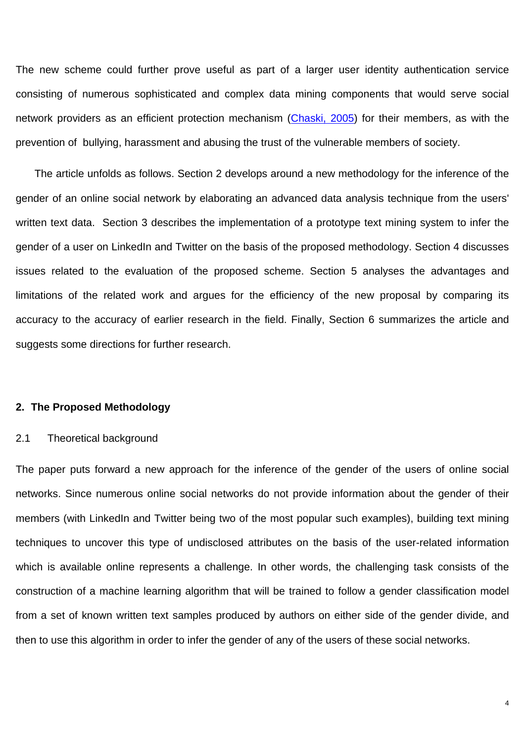The new scheme could further prove useful as part of a larger user identity authentication service consisting of numerous sophisticated and complex data mining components that would serve social network providers as an efficient protection mechanism (Chaski, 2005) for their members, as with the prevention of bullying, harassment and abusing the trust of the vulnerable members of society.

The article unfolds as follows. Section 2 develops around a new methodology for the inference of the gender of an online social network by elaborating an advanced data analysis technique from the users' written text data. Section 3 describes the implementation of a prototype text mining system to infer the gender of a user on LinkedIn and Twitter on the basis of the proposed methodology. Section 4 discusses issues related to the evaluation of the proposed scheme. Section 5 analyses the advantages and limitations of the related work and argues for the efficiency of the new proposal by comparing its accuracy to the accuracy of earlier research in the field. Finally, Section 6 summarizes the article and suggests some directions for further research.

## **2. The Proposed Methodology**

### 2.1 Theoretical background

The paper puts forward a new approach for the inference of the gender of the users of online social networks. Since numerous online social networks do not provide information about the gender of their members (with LinkedIn and Twitter being two of the most popular such examples), building text mining techniques to uncover this type of undisclosed attributes on the basis of the user-related information which is available online represents a challenge. In other words, the challenging task consists of the construction of a machine learning algorithm that will be trained to follow a gender classification model from a set of known written text samples produced by authors on either side of the gender divide, and then to use this algorithm in order to infer the gender of any of the users of these social networks.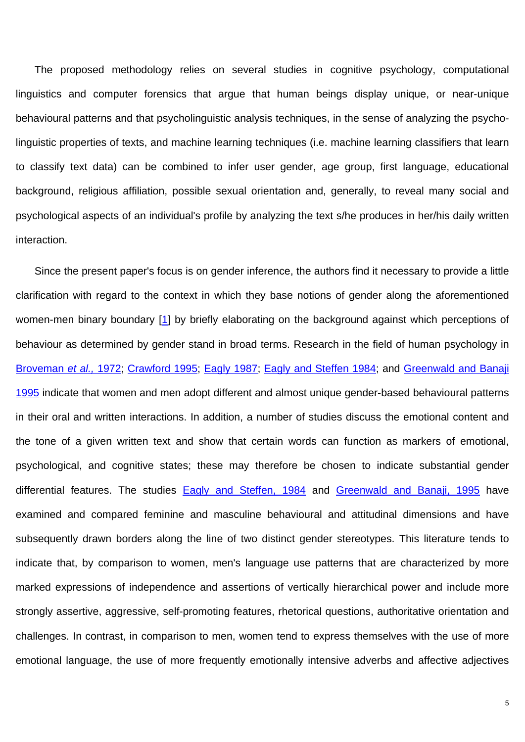The proposed methodology relies on several studies in cognitive psychology, computational linguistics and computer forensics that argue that human beings display unique, or near-unique behavioural patterns and that psycholinguistic analysis techniques, in the sense of analyzing the psycholinguistic properties of texts, and machine learning techniques (i.e. machine learning classifiers that learn to classify text data) can be combined to infer user gender, age group, first language, educational background, religious affiliation, possible sexual orientation and, generally, to reveal many social and psychological aspects of an individual's profile by analyzing the text s/he produces in her/his daily written interaction.

Since the present paper's focus is on gender inference, the authors find it necessary to provide a little clarification with regard to the context in which they base notions of gender along the aforementioned women-men binary boundary [1] by briefly elaborating on the background against which perceptions of behaviour as determined by gender stand in broad terms. Research in the field of human psychology in Broveman *et al.,* 1972; Crawford 1995; Eagly 1987; Eagly and Steffen 1984; and Greenwald and Banaji 1995 indicate that women and men adopt different and almost unique gender-based behavioural patterns in their oral and written interactions. In addition, a number of studies discuss the emotional content and the tone of a given written text and show that certain words can function as markers of emotional, psychological, and cognitive states; these may therefore be chosen to indicate substantial gender differential features. The studies Eagly and Steffen, 1984 and Greenwald and Banaji, 1995 have examined and compared feminine and masculine behavioural and attitudinal dimensions and have subsequently drawn borders along the line of two distinct gender stereotypes. This literature tends to indicate that, by comparison to women, men's language use patterns that are characterized by more marked expressions of independence and assertions of vertically hierarchical power and include more strongly assertive, aggressive, self-promoting features, rhetorical questions, authoritative orientation and challenges. In contrast, in comparison to men, women tend to express themselves with the use of more emotional language, the use of more frequently emotionally intensive adverbs and affective adjectives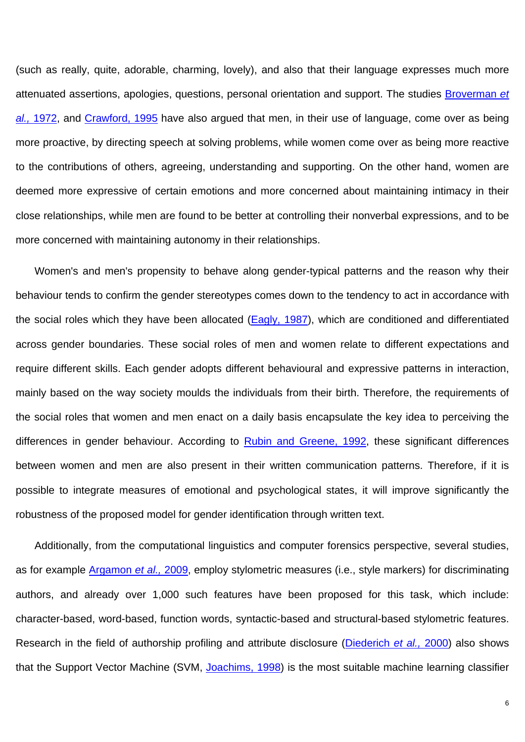(such as really, quite, adorable, charming, lovely), and also that their language expresses much more attenuated assertions, apologies, questions, personal orientation and support. The studies Broverman *et al.,* 1972, and Crawford, 1995 have also argued that men, in their use of language, come over as being more proactive, by directing speech at solving problems, while women come over as being more reactive to the contributions of others, agreeing, understanding and supporting. On the other hand, women are deemed more expressive of certain emotions and more concerned about maintaining intimacy in their close relationships, while men are found to be better at controlling their nonverbal expressions, and to be more concerned with maintaining autonomy in their relationships.

Women's and men's propensity to behave along gender-typical patterns and the reason why their behaviour tends to confirm the gender stereotypes comes down to the tendency to act in accordance with the social roles which they have been allocated (Eagly, 1987), which are conditioned and differentiated across gender boundaries. These social roles of men and women relate to different expectations and require different skills. Each gender adopts different behavioural and expressive patterns in interaction, mainly based on the way society moulds the individuals from their birth. Therefore, the requirements of the social roles that women and men enact on a daily basis encapsulate the key idea to perceiving the differences in gender behaviour. According to Rubin and Greene, 1992, these significant differences between women and men are also present in their written communication patterns. Therefore, if it is possible to integrate measures of emotional and psychological states, it will improve significantly the robustness of the proposed model for gender identification through written text.

Additionally, from the computational linguistics and computer forensics perspective, several studies, as for example Argamon *et al.,* 2009, employ stylometric measures (i.e., style markers) for discriminating authors, and already over 1,000 such features have been proposed for this task, which include: character-based, word-based, function words, syntactic-based and structural-based stylometric features. Research in the field of authorship profiling and attribute disclosure (Diederich *et al.,* 2000) also shows that the Support Vector Machine (SVM, Joachims, 1998) is the most suitable machine learning classifier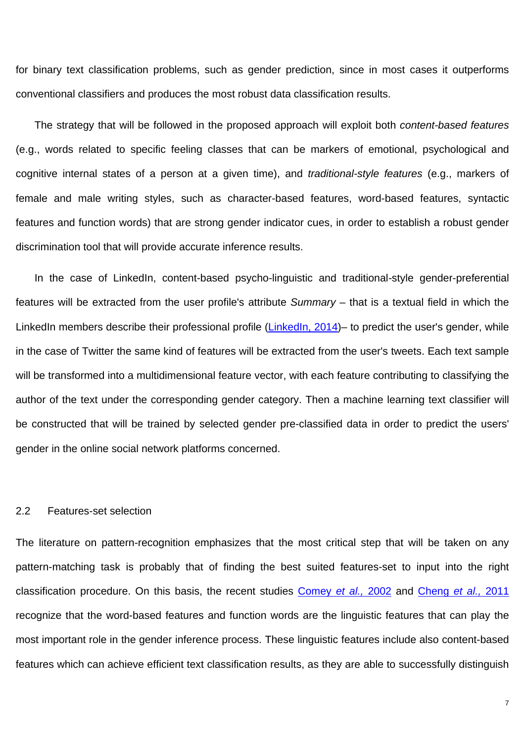for binary text classification problems, such as gender prediction, since in most cases it outperforms conventional classifiers and produces the most robust data classification results.

The strategy that will be followed in the proposed approach will exploit both *content-based features* (e.g., words related to specific feeling classes that can be markers of emotional, psychological and cognitive internal states of a person at a given time), and *traditional-style features* (e.g., markers of female and male writing styles, such as character-based features, word-based features, syntactic features and function words) that are strong gender indicator cues, in order to establish a robust gender discrimination tool that will provide accurate inference results.

In the case of LinkedIn, content-based psycho-linguistic and traditional*-*style gender-preferential features will be extracted from the user profile's attribute *Summary* – that is a textual field in which the LinkedIn members describe their professional profile (LinkedIn, 2014)– to predict the user's gender, while in the case of Twitter the same kind of features will be extracted from the user's tweets. Each text sample will be transformed into a multidimensional feature vector, with each feature contributing to classifying the author of the text under the corresponding gender category. Then a machine learning text classifier will be constructed that will be trained by selected gender pre-classified data in order to predict the users' gender in the online social network platforms concerned.

## 2.2 Features-set selection

The literature on pattern-recognition emphasizes that the most critical step that will be taken on any pattern-matching task is probably that of finding the best suited features-set to input into the right classification procedure. On this basis, the recent studies Comey *et al.,* 2002 and Cheng *et al.,* 2011 recognize that the word-based features and function words are the linguistic features that can play the most important role in the gender inference process. These linguistic features include also content-based features which can achieve efficient text classification results, as they are able to successfully distinguish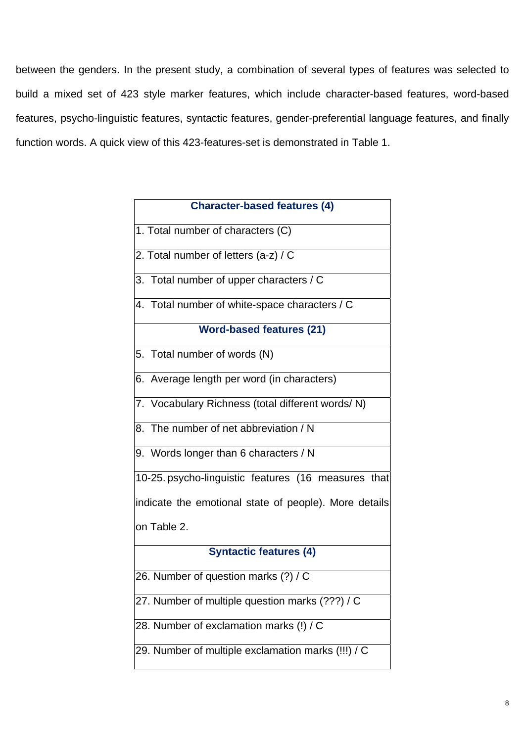between the genders. In the present study, a combination of several types of features was selected to build a mixed set of 423 style marker features, which include character-based features, word-based features, psycho-linguistic features, syntactic features, gender-preferential language features, and finally function words. A quick view of this 423-features-set is demonstrated in Table 1.

| <b>Character-based features (4)</b>                   |  |  |  |
|-------------------------------------------------------|--|--|--|
| 1. Total number of characters (C)                     |  |  |  |
| 2. Total number of letters (a-z) / C                  |  |  |  |
| 3. Total number of upper characters / C               |  |  |  |
| 4. Total number of white-space characters / C         |  |  |  |
| <b>Word-based features (21)</b>                       |  |  |  |
| 5. Total number of words (N)                          |  |  |  |
| 6. Average length per word (in characters)            |  |  |  |
| 7. Vocabulary Richness (total different words/N)      |  |  |  |
| 8. The number of net abbreviation / N                 |  |  |  |
| 9. Words longer than 6 characters / N                 |  |  |  |
| 10-25. psycho-linguistic features (16 measures that   |  |  |  |
| indicate the emotional state of people). More details |  |  |  |
| on Table 2.                                           |  |  |  |
| <b>Syntactic features (4)</b>                         |  |  |  |
| 26. Number of question marks (?) / C                  |  |  |  |
| 27. Number of multiple question marks (???) / C       |  |  |  |
| 28. Number of exclamation marks (!) / C               |  |  |  |
| 29. Number of multiple exclamation marks (!!!) / C    |  |  |  |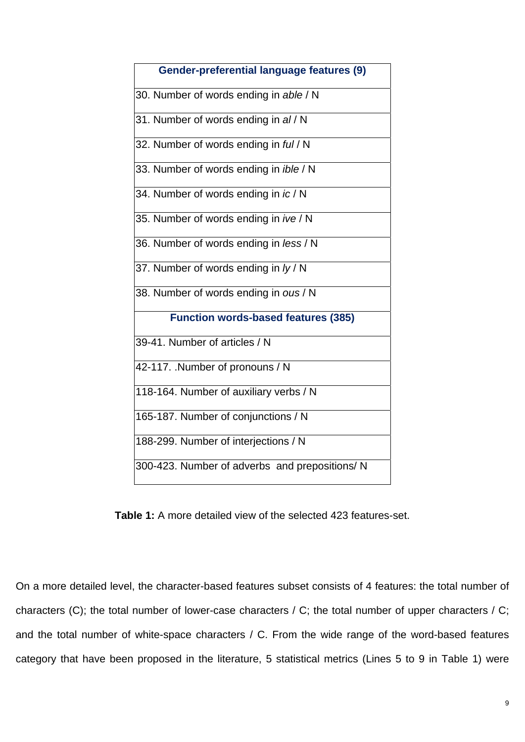| <b>Gender-preferential language features (9)</b> |  |  |  |
|--------------------------------------------------|--|--|--|
| 30. Number of words ending in able / N           |  |  |  |
| 31. Number of words ending in al / N             |  |  |  |
| 32. Number of words ending in ful / N            |  |  |  |
| 33. Number of words ending in ible / N           |  |  |  |
| 34. Number of words ending in ic / N             |  |  |  |
| 35. Number of words ending in ive / N            |  |  |  |
| 36. Number of words ending in less / N           |  |  |  |
| 37. Number of words ending in ly / N             |  |  |  |
| 38. Number of words ending in ous / N            |  |  |  |
| <b>Function words-based features (385)</b>       |  |  |  |
| 39-41. Number of articles / N                    |  |  |  |
| 42-117. Number of pronouns / N                   |  |  |  |
| 118-164. Number of auxiliary verbs / N           |  |  |  |
| 165-187. Number of conjunctions / N              |  |  |  |
| 188-299. Number of interjections / N             |  |  |  |
| 300-423. Number of adverbs and prepositions/ N   |  |  |  |
|                                                  |  |  |  |

**Table 1:** A more detailed view of the selected 423 features-set.

On a more detailed level, the character-based features subset consists of 4 features: the total number of characters (C); the total number of lower-case characters / C; the total number of upper characters / C; and the total number of white-space characters / C. From the wide range of the word-based features category that have been proposed in the literature, 5 statistical metrics (Lines 5 to 9 in Table 1) were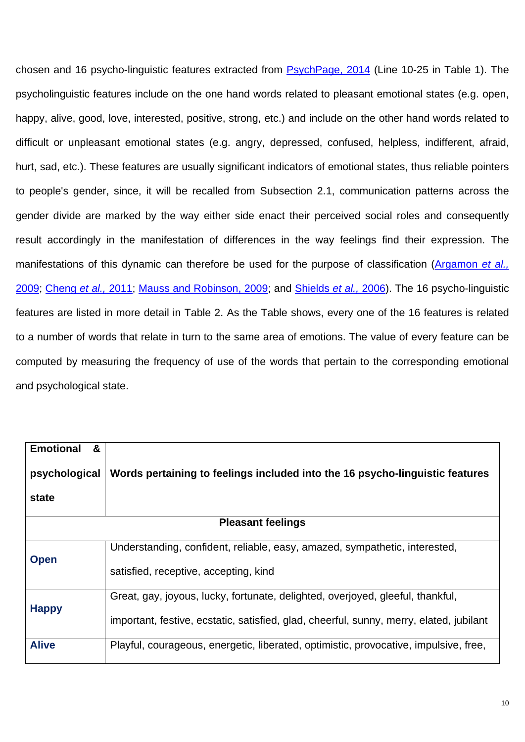chosen and 16 psycho-linguistic features extracted from PsychPage, 2014 (Line 10-25 in Table 1). The psycholinguistic features include on the one hand words related to pleasant emotional states (e.g. open, happy, alive, good, love, interested, positive, strong, etc.) and include on the other hand words related to difficult or unpleasant emotional states (e.g. angry, depressed, confused, helpless, indifferent, afraid, hurt, sad, etc.). These features are usually significant indicators of emotional states, thus reliable pointers to people's gender, since, it will be recalled from Subsection 2.1, communication patterns across the gender divide are marked by the way either side enact their perceived social roles and consequently result accordingly in the manifestation of differences in the way feelings find their expression. The manifestations of this dynamic can therefore be used for the purpose of classification (Argamon *et al.,* 2009; Cheng *et al.,* 2011; Mauss and Robinson, 2009; and Shields *et al.,* 2006). The 16 psycho-linguistic features are listed in more detail in Table 2. As the Table shows, every one of the 16 features is related to a number of words that relate in turn to the same area of emotions. The value of every feature can be computed by measuring the frequency of use of the words that pertain to the corresponding emotional and psychological state.

| <b>Emotional</b><br>&<br>psychological<br>state | Words pertaining to feelings included into the 16 psycho-linguistic features            |  |  |  |  |
|-------------------------------------------------|-----------------------------------------------------------------------------------------|--|--|--|--|
| <b>Pleasant feelings</b>                        |                                                                                         |  |  |  |  |
|                                                 |                                                                                         |  |  |  |  |
| <b>Open</b>                                     | Understanding, confident, reliable, easy, amazed, sympathetic, interested,              |  |  |  |  |
|                                                 | satisfied, receptive, accepting, kind                                                   |  |  |  |  |
| <b>Happy</b>                                    | Great, gay, joyous, lucky, fortunate, delighted, overjoyed, gleeful, thankful,          |  |  |  |  |
|                                                 | important, festive, ecstatic, satisfied, glad, cheerful, sunny, merry, elated, jubilant |  |  |  |  |
| <b>Alive</b>                                    | Playful, courageous, energetic, liberated, optimistic, provocative, impulsive, free,    |  |  |  |  |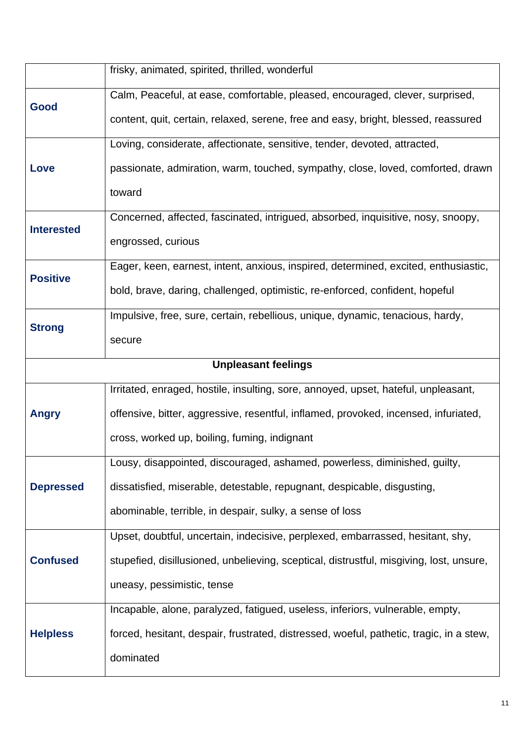|                            | frisky, animated, spirited, thrilled, wonderful                                         |  |  |  |
|----------------------------|-----------------------------------------------------------------------------------------|--|--|--|
| Good                       | Calm, Peaceful, at ease, comfortable, pleased, encouraged, clever, surprised,           |  |  |  |
|                            | content, quit, certain, relaxed, serene, free and easy, bright, blessed, reassured      |  |  |  |
|                            | Loving, considerate, affectionate, sensitive, tender, devoted, attracted,               |  |  |  |
| Love                       | passionate, admiration, warm, touched, sympathy, close, loved, comforted, drawn         |  |  |  |
|                            | toward                                                                                  |  |  |  |
| <b>Interested</b>          | Concerned, affected, fascinated, intrigued, absorbed, inquisitive, nosy, snoopy,        |  |  |  |
|                            | engrossed, curious                                                                      |  |  |  |
| <b>Positive</b>            | Eager, keen, earnest, intent, anxious, inspired, determined, excited, enthusiastic,     |  |  |  |
|                            | bold, brave, daring, challenged, optimistic, re-enforced, confident, hopeful            |  |  |  |
| <b>Strong</b>              | Impulsive, free, sure, certain, rebellious, unique, dynamic, tenacious, hardy,          |  |  |  |
|                            | secure                                                                                  |  |  |  |
| <b>Unpleasant feelings</b> |                                                                                         |  |  |  |
|                            | Irritated, enraged, hostile, insulting, sore, annoyed, upset, hateful, unpleasant,      |  |  |  |
| <b>Angry</b>               | offensive, bitter, aggressive, resentful, inflamed, provoked, incensed, infuriated,     |  |  |  |
|                            | cross, worked up, boiling, fuming, indignant                                            |  |  |  |
|                            | Lousy, disappointed, discouraged, ashamed, powerless, diminished, guilty,               |  |  |  |
| <b>Depressed</b>           | dissatisfied, miserable, detestable, repugnant, despicable, disgusting,                 |  |  |  |
|                            | abominable, terrible, in despair, sulky, a sense of loss                                |  |  |  |
|                            | Upset, doubtful, uncertain, indecisive, perplexed, embarrassed, hesitant, shy,          |  |  |  |
| <b>Confused</b>            | stupefied, disillusioned, unbelieving, sceptical, distrustful, misgiving, lost, unsure, |  |  |  |
|                            | uneasy, pessimistic, tense                                                              |  |  |  |
| <b>Helpless</b>            | Incapable, alone, paralyzed, fatigued, useless, inferiors, vulnerable, empty,           |  |  |  |
|                            | forced, hesitant, despair, frustrated, distressed, woeful, pathetic, tragic, in a stew, |  |  |  |
|                            | dominated                                                                               |  |  |  |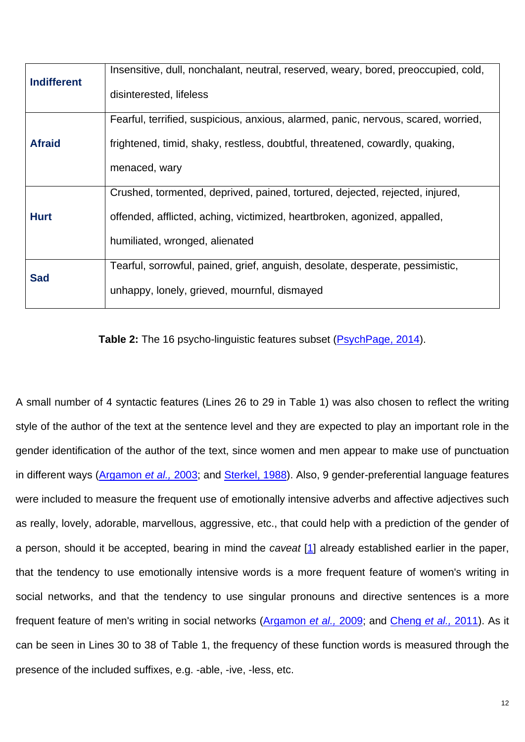| <b>Indifferent</b> | Insensitive, dull, nonchalant, neutral, reserved, weary, bored, preoccupied, cold, |  |  |  |
|--------------------|------------------------------------------------------------------------------------|--|--|--|
|                    | disinterested, lifeless                                                            |  |  |  |
|                    | Fearful, terrified, suspicious, anxious, alarmed, panic, nervous, scared, worried, |  |  |  |
| <b>Afraid</b>      | frightened, timid, shaky, restless, doubtful, threatened, cowardly, quaking,       |  |  |  |
|                    | menaced, wary                                                                      |  |  |  |
|                    | Crushed, tormented, deprived, pained, tortured, dejected, rejected, injured,       |  |  |  |
| <b>Hurt</b>        | offended, afflicted, aching, victimized, heartbroken, agonized, appalled,          |  |  |  |
|                    | humiliated, wronged, alienated                                                     |  |  |  |
| <b>Sad</b>         | Tearful, sorrowful, pained, grief, anguish, desolate, desperate, pessimistic,      |  |  |  |
|                    | unhappy, lonely, grieved, mournful, dismayed                                       |  |  |  |
|                    |                                                                                    |  |  |  |

**Table 2:** The 16 psycho-linguistic features subset (PsychPage, 2014).

A small number of 4 syntactic features (Lines 26 to 29 in Table 1) was also chosen to reflect the writing style of the author of the text at the sentence level and they are expected to play an important role in the gender identification of the author of the text, since women and men appear to make use of punctuation in different ways (Argamon *et al.,* 2003; and Sterkel, 1988). Also, 9 gender-preferential language features were included to measure the frequent use of emotionally intensive adverbs and affective adjectives such as really, lovely, adorable, marvellous, aggressive, etc., that could help with a prediction of the gender of a person, should it be accepted, bearing in mind the *caveat* [1] already established earlier in the paper, that the tendency to use emotionally intensive words is a more frequent feature of women's writing in social networks, and that the tendency to use singular pronouns and directive sentences is a more frequent feature of men's writing in social networks (Argamon *et al.,* 2009; and Cheng *et al.,* 2011). As it can be seen in Lines 30 to 38 of Table 1, the frequency of these function words is measured through the presence of the included suffixes, e.g. -able, -ive, -less, etc.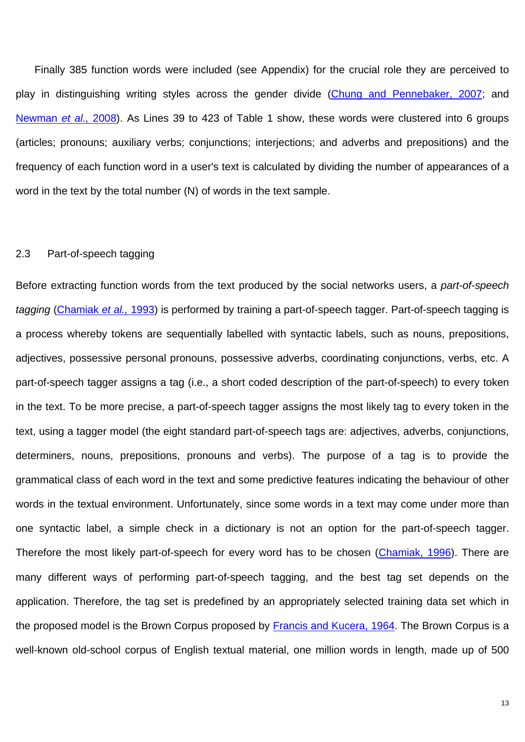Finally 385 function words were included (see Appendix) for the crucial role they are perceived to play in distinguishing writing styles across the gender divide (Chung and Pennebaker, 2007; and Newman *et al.,* 2008). As Lines 39 to 423 of Table 1 show, these words were clustered into 6 groups (articles; pronouns; auxiliary verbs; conjunctions; interjections; and adverbs and prepositions) and the frequency of each function word in a user's text is calculated by dividing the number of appearances of a word in the text by the total number (N) of words in the text sample.

#### 2.3 Part-of-speech tagging

Before extracting function words from the text produced by the social networks users, a *part-of-speech tagging* (Chamiak *et al.,* 1993) is performed by training a part-of-speech tagger. Part-of-speech tagging is a process whereby tokens are sequentially labelled with syntactic labels, such as nouns, prepositions, adjectives, possessive personal pronouns, possessive adverbs, coordinating conjunctions, verbs, etc. A part-of-speech tagger assigns a tag (i.e., a short coded description of the part-of-speech) to every token in the text. To be more precise, a part-of-speech tagger assigns the most likely tag to every token in the text, using a tagger model (the eight standard part-of-speech tags are: adjectives, adverbs, conjunctions, determiners, nouns, prepositions, pronouns and verbs). The purpose of a tag is to provide the grammatical class of each word in the text and some predictive features indicating the behaviour of other words in the textual environment. Unfortunately, since some words in a text may come under more than one syntactic label, a simple check in a dictionary is not an option for the part-of-speech tagger. Therefore the most likely part-of-speech for every word has to be chosen (Chamiak, 1996). There are many different ways of performing part-of-speech tagging, and the best tag set depends on the application. Therefore, the tag set is predefined by an appropriately selected training data set which in the proposed model is the Brown Corpus proposed by Francis and Kucera, 1964. The Brown Corpus is a well-known old-school corpus of English textual material, one million words in length, made up of 500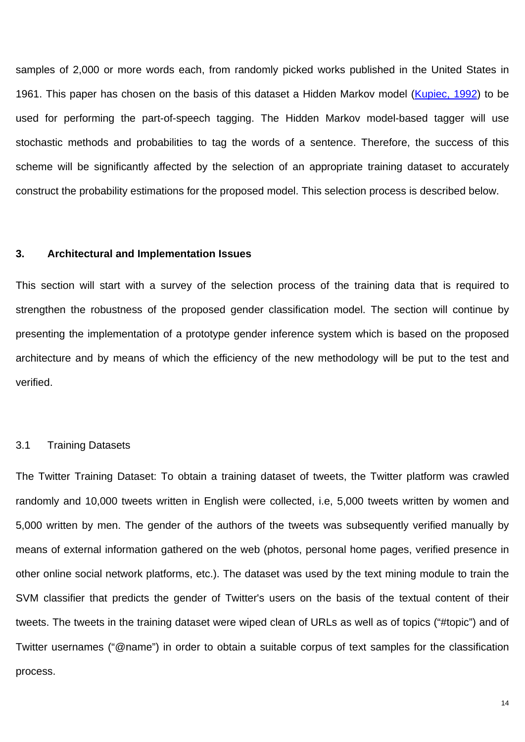samples of 2,000 or more words each, from randomly picked works published in the United States in 1961. This paper has chosen on the basis of this dataset a Hidden Markov model (Kupiec, 1992) to be used for performing the part-of-speech tagging. The Hidden Markov model-based tagger will use stochastic methods and probabilities to tag the words of a sentence. Therefore, the success of this scheme will be significantly affected by the selection of an appropriate training dataset to accurately construct the probability estimations for the proposed model. This selection process is described below.

#### **3. Architectural and Implementation Issues**

This section will start with a survey of the selection process of the training data that is required to strengthen the robustness of the proposed gender classification model. The section will continue by presenting the implementation of a prototype gender inference system which is based on the proposed architecture and by means of which the efficiency of the new methodology will be put to the test and verified.

#### 3.1 Training Datasets

The Twitter Training Dataset: To obtain a training dataset of tweets, the Twitter platform was crawled randomly and 10,000 tweets written in English were collected, i.e, 5,000 tweets written by women and 5,000 written by men. The gender of the authors of the tweets was subsequently verified manually by means of external information gathered on the web (photos, personal home pages, verified presence in other online social network platforms, etc.). The dataset was used by the text mining module to train the SVM classifier that predicts the gender of Twitter's users on the basis of the textual content of their tweets. The tweets in the training dataset were wiped clean of URLs as well as of topics ("#topic") and of Twitter usernames ("@name") in order to obtain a suitable corpus of text samples for the classification process.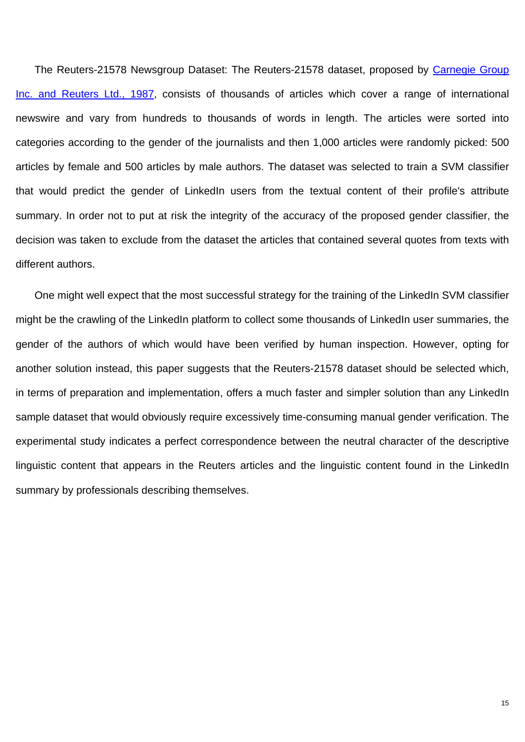The Reuters-21578 Newsgroup Dataset: The Reuters-21578 dataset, proposed by Carnegie Group Inc. and Reuters Ltd., 1987, consists of thousands of articles which cover a range of international newswire and vary from hundreds to thousands of words in length. The articles were sorted into categories according to the gender of the journalists and then 1,000 articles were randomly picked: 500 articles by female and 500 articles by male authors. The dataset was selected to train a SVM classifier that would predict the gender of LinkedIn users from the textual content of their profile's attribute summary. In order not to put at risk the integrity of the accuracy of the proposed gender classifier, the decision was taken to exclude from the dataset the articles that contained several quotes from texts with different authors.

One might well expect that the most successful strategy for the training of the LinkedIn SVM classifier might be the crawling of the LinkedIn platform to collect some thousands of LinkedIn user summaries, the gender of the authors of which would have been verified by human inspection. However, opting for another solution instead, this paper suggests that the Reuters-21578 dataset should be selected which, in terms of preparation and implementation, offers a much faster and simpler solution than any LinkedIn sample dataset that would obviously require excessively time-consuming manual gender verification. The experimental study indicates a perfect correspondence between the neutral character of the descriptive linguistic content that appears in the Reuters articles and the linguistic content found in the LinkedIn summary by professionals describing themselves.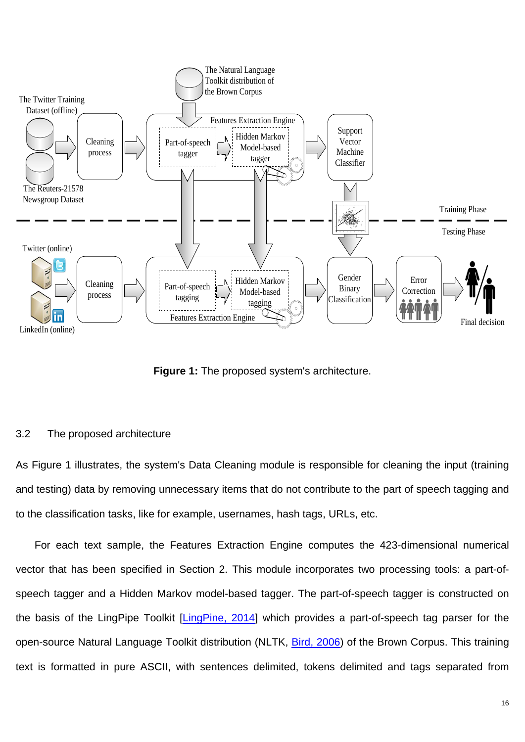

**Figure 1:** The proposed system's architecture.

## 3.2 The proposed architecture

As Figure 1 illustrates, the system's Data Cleaning module is responsible for cleaning the input (training and testing) data by removing unnecessary items that do not contribute to the part of speech tagging and to the classification tasks, like for example, usernames, hash tags, URLs, etc.

For each text sample, the Features Extraction Engine computes the 423-dimensional numerical vector that has been specified in Section 2. This module incorporates two processing tools: a part-ofspeech tagger and a Hidden Markov model-based tagger. The part-of-speech tagger is constructed on the basis of the LingPipe Toolkit [LingPine, 2014] which provides a part-of-speech tag parser for the open-source Natural Language Toolkit distribution (NLTK, Bird, 2006) of the Brown Corpus. This training text is formatted in pure ASCII, with sentences delimited, tokens delimited and tags separated from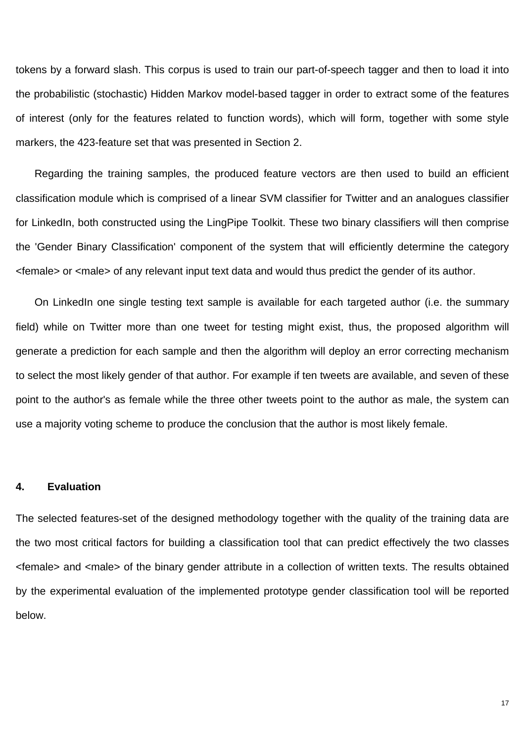tokens by a forward slash. This corpus is used to train our part-of-speech tagger and then to load it into the probabilistic (stochastic) Hidden Markov model-based tagger in order to extract some of the features of interest (only for the features related to function words), which will form, together with some style markers, the 423-feature set that was presented in Section 2.

Regarding the training samples, the produced feature vectors are then used to build an efficient classification module which is comprised of a linear SVM classifier for Twitter and an analogues classifier for LinkedIn, both constructed using the LingPipe Toolkit. These two binary classifiers will then comprise the 'Gender Binary Classification' component of the system that will efficiently determine the category <female> or <male> of any relevant input text data and would thus predict the gender of its author.

On LinkedIn one single testing text sample is available for each targeted author (i.e. the summary field) while on Twitter more than one tweet for testing might exist, thus, the proposed algorithm will generate a prediction for each sample and then the algorithm will deploy an error correcting mechanism to select the most likely gender of that author. For example if ten tweets are available, and seven of these point to the author's as female while the three other tweets point to the author as male, the system can use a majority voting scheme to produce the conclusion that the author is most likely female.

#### **4. Evaluation**

The selected features-set of the designed methodology together with the quality of the training data are the two most critical factors for building a classification tool that can predict effectively the two classes <female> and <male> of the binary gender attribute in a collection of written texts. The results obtained by the experimental evaluation of the implemented prototype gender classification tool will be reported below.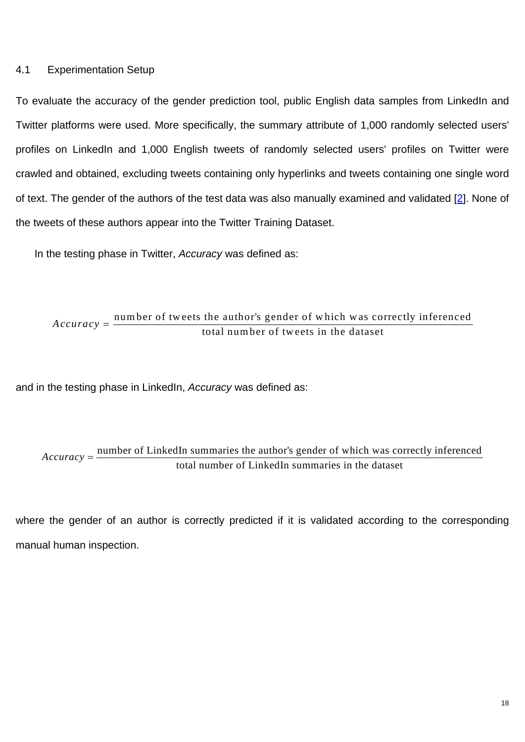## 4.1 Experimentation Setup

To evaluate the accuracy of the gender prediction tool, public English data samples from LinkedIn and Twitter platforms were used. More specifically, the summary attribute of 1,000 randomly selected users' profiles on LinkedIn and 1,000 English tweets of randomly selected users' profiles on Twitter were crawled and obtained, excluding tweets containing only hyperlinks and tweets containing one single word of text. The gender of the authors of the test data was also manually examined and validated [2]. None of the tweets of these authors appear into the Twitter Training Dataset.

In the testing phase in Twitter, *Accuracy* was defined as:

Accuracy =  $\frac{\text{number of tweets the author's gender of which was correctly inferred  
total number of tweets in the dataset}$ 

and in the testing phase in LinkedIn, *Accuracy* was defined as:

# Accuracy =  $\frac{\text{number of LinkedIn summarizes the author's gender of which was correctly inferredtotal number of LinkedIn summaries in the dataset$

where the gender of an author is correctly predicted if it is validated according to the corresponding manual human inspection.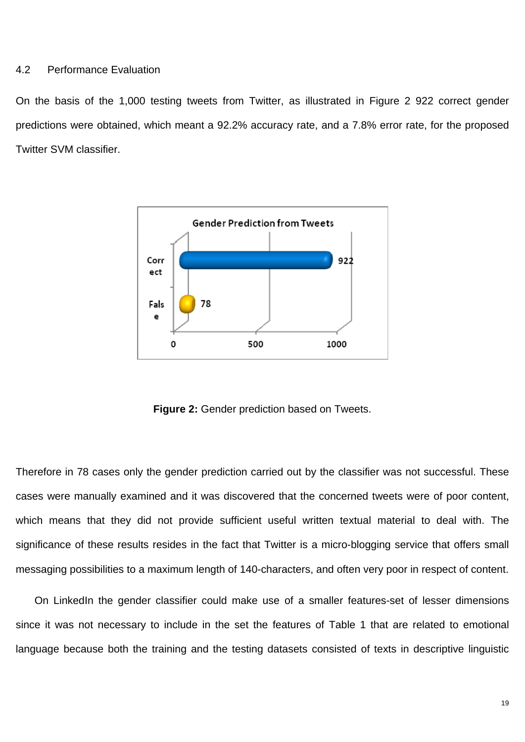### 4.2 Performance Evaluation

On the basis of the 1,000 testing tweets from Twitter, as illustrated in Figure 2 922 correct gender predictions were obtained, which meant a 92.2% accuracy rate, and a 7.8% error rate, for the proposed Twitter SVM classifier.



**Figure 2:** Gender prediction based on Tweets.

Therefore in 78 cases only the gender prediction carried out by the classifier was not successful. These cases were manually examined and it was discovered that the concerned tweets were of poor content, which means that they did not provide sufficient useful written textual material to deal with. The significance of these results resides in the fact that Twitter is a micro-blogging service that offers small messaging possibilities to a maximum length of 140-characters, and often very poor in respect of content.

On LinkedIn the gender classifier could make use of a smaller features-set of lesser dimensions since it was not necessary to include in the set the features of Table 1 that are related to emotional language because both the training and the testing datasets consisted of texts in descriptive linguistic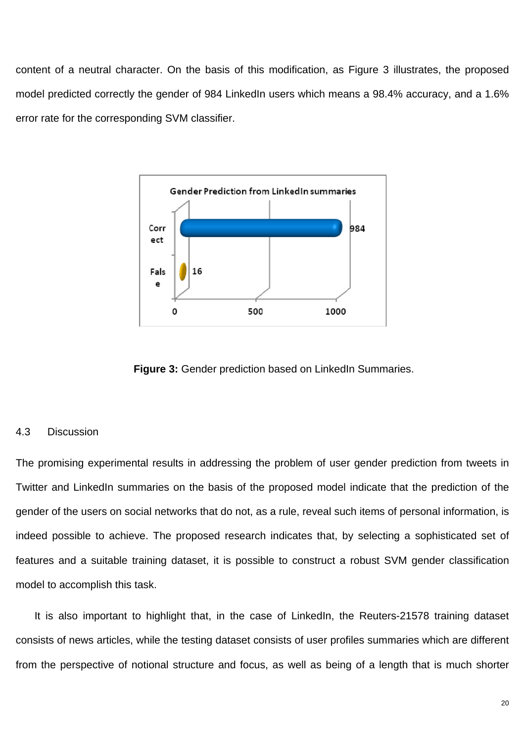content of a neutral character. On the basis of this modification, as Figure 3 illustrates, the proposed model predicted correctly the gender of 984 LinkedIn users which means a 98.4% accuracy, and a 1.6% error rate for the corresponding SVM classifier.



**Figure 3: Gender prediction based on LinkedIn Summaries.** 

## 4.3 Discussion

The promising experimental results in addressing the problem of user gender prediction from tweets in Twitter and LinkedIn summaries on the basis of the proposed model indicate that the prediction of the gender of the users on social networks that do not, as a rule, reveal such items of personal information, is indeed possible to achieve. The proposed research indicates that, by selecting a sophisticated set of features and a suitable training dataset, it is possible to construct a robust SVM gender classification model to accomplish this task.

It is also important to highlight that, in the case of LinkedIn, the Reuters-21578 training dataset consists of news articles, while the testing dataset consists of user profiles summaries which are different from the perspective of notional structure and focus, as well as being of a length that is much shorter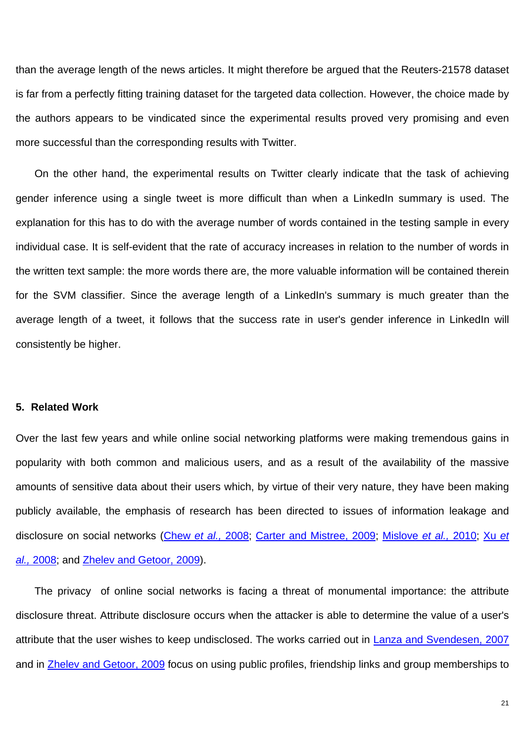than the average length of the news articles. It might therefore be argued that the Reuters-21578 dataset is far from a perfectly fitting training dataset for the targeted data collection. However, the choice made by the authors appears to be vindicated since the experimental results proved very promising and even more successful than the corresponding results with Twitter.

On the other hand, the experimental results on Twitter clearly indicate that the task of achieving gender inference using a single tweet is more difficult than when a LinkedIn summary is used. The explanation for this has to do with the average number of words contained in the testing sample in every individual case. It is self-evident that the rate of accuracy increases in relation to the number of words in the written text sample: the more words there are, the more valuable information will be contained therein for the SVM classifier. Since the average length of a LinkedIn's summary is much greater than the average length of a tweet, it follows that the success rate in user's gender inference in LinkedIn will consistently be higher.

## **5. Related Work**

Over the last few years and while online social networking platforms were making tremendous gains in popularity with both common and malicious users, and as a result of the availability of the massive amounts of sensitive data about their users which, by virtue of their very nature, they have been making publicly available, the emphasis of research has been directed to issues of information leakage and disclosure on social networks (Chew *et al.,* 2008; Carter and Mistree, 2009; Mislove *et al.,* 2010; Xu *et al.,* 2008; and Zhelev and Getoor, 2009).

The privacy of online social networks is facing a threat of monumental importance: the attribute disclosure threat. Attribute disclosure occurs when the attacker is able to determine the value of a user's attribute that the user wishes to keep undisclosed. The works carried out in **Lanza and Svendesen**, 2007 and in Zhelev and Getoor, 2009 focus on using public profiles, friendship links and group memberships to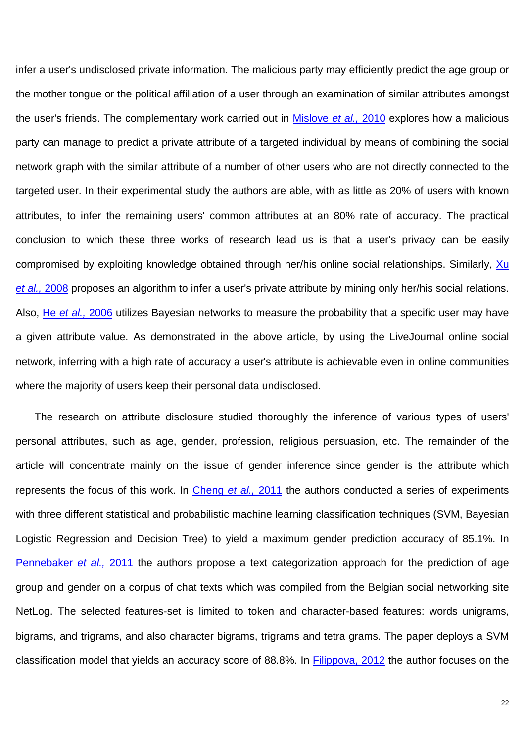infer a user's undisclosed private information. The malicious party may efficiently predict the age group or the mother tongue or the political affiliation of a user through an examination of similar attributes amongst the user's friends. The complementary work carried out in Mislove *et al.,* 2010 explores how a malicious party can manage to predict a private attribute of a targeted individual by means of combining the social network graph with the similar attribute of a number of other users who are not directly connected to the targeted user. In their experimental study the authors are able, with as little as 20% of users with known attributes, to infer the remaining users' common attributes at an 80% rate of accuracy. The practical conclusion to which these three works of research lead us is that a user's privacy can be easily compromised by exploiting knowledge obtained through her/his online social relationships. Similarly, Xu *et al.,* 2008 proposes an algorithm to infer a user's private attribute by mining only her/his social relations. Also, He *et al.,* 2006 utilizes Bayesian networks to measure the probability that a specific user may have a given attribute value. As demonstrated in the above article, by using the LiveJournal online social network, inferring with a high rate of accuracy a user's attribute is achievable even in online communities where the majority of users keep their personal data undisclosed.

The research on attribute disclosure studied thoroughly the inference of various types of users' personal attributes, such as age, gender, profession, religious persuasion, etc. The remainder of the article will concentrate mainly on the issue of gender inference since gender is the attribute which represents the focus of this work. In Cheng *et al.,* 2011 the authors conducted a series of experiments with three different statistical and probabilistic machine learning classification techniques (SVM, Bayesian Logistic Regression and Decision Tree) to yield a maximum gender prediction accuracy of 85.1%. In Pennebaker *et al.,* 2011 the authors propose a text categorization approach for the prediction of age group and gender on a corpus of chat texts which was compiled from the Belgian social networking site NetLog. The selected features-set is limited to token and character-based features: words unigrams, bigrams, and trigrams, and also character bigrams, trigrams and tetra grams. The paper deploys a SVM classification model that yields an accuracy score of 88.8%. In Filippova, 2012 the author focuses on the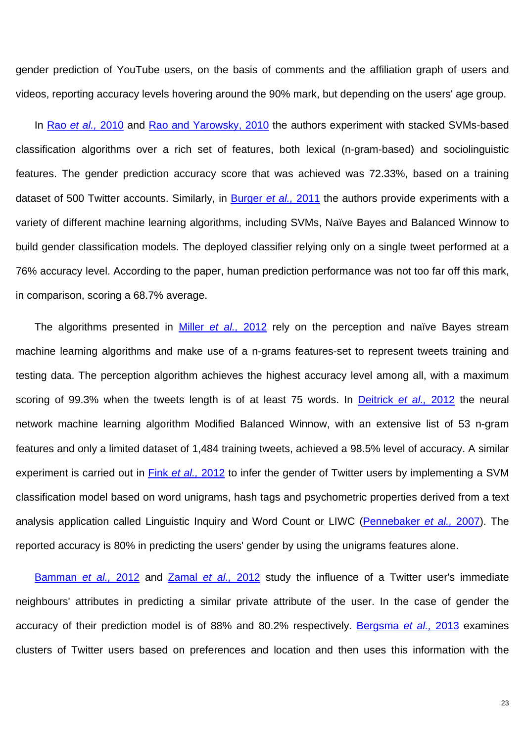gender prediction of YouTube users, on the basis of comments and the affiliation graph of users and videos, reporting accuracy levels hovering around the 90% mark, but depending on the users' age group.

In Rao *et al.,* 2010 and Rao and Yarowsky, 2010 the authors experiment with stacked SVMs-based classification algorithms over a rich set of features, both lexical (n-gram-based) and sociolinguistic features. The gender prediction accuracy score that was achieved was 72.33%, based on a training dataset of 500 Twitter accounts. Similarly, in Burger *et al.,* 2011 the authors provide experiments with a variety of different machine learning algorithms, including SVMs, Naïve Bayes and Balanced Winnow to build gender classification models. The deployed classifier relying only on a single tweet performed at a 76% accuracy level. According to the paper, human prediction performance was not too far off this mark, in comparison, scoring a 68.7% average.

The algorithms presented in Miller *et al.,* 2012 rely on the perception and naïve Bayes stream machine learning algorithms and make use of a n-grams features-set to represent tweets training and testing data. The perception algorithm achieves the highest accuracy level among all, with a maximum scoring of 99.3% when the tweets length is of at least 75 words. In Deitrick *et al.,* 2012 the neural network machine learning algorithm Modified Balanced Winnow, with an extensive list of 53 n-gram features and only a limited dataset of 1,484 training tweets, achieved a 98.5% level of accuracy. A similar experiment is carried out in Fink *et al.,* 2012 to infer the gender of Twitter users by implementing a SVM classification model based on word unigrams, hash tags and psychometric properties derived from a text analysis application called Linguistic Inquiry and Word Count or LIWC (Pennebaker *et al.,* 2007). The reported accuracy is 80% in predicting the users' gender by using the unigrams features alone.

Bamman *et al.,* 2012 and Zamal *et al.,* 2012 study the influence of a Twitter user's immediate neighbours' attributes in predicting a similar private attribute of the user. In the case of gender the accuracy of their prediction model is of 88% and 80.2% respectively. Bergsma *et al.,* 2013 examines clusters of Twitter users based on preferences and location and then uses this information with the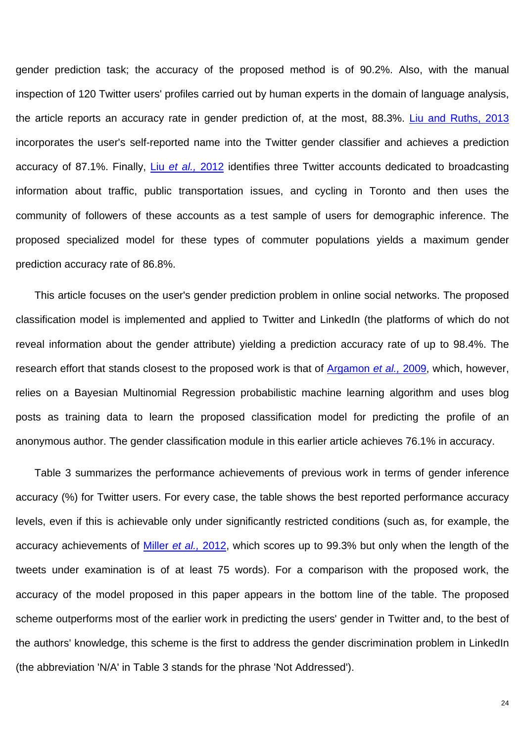gender prediction task; the accuracy of the proposed method is of 90.2%. Also, with the manual inspection of 120 Twitter users' profiles carried out by human experts in the domain of language analysis, the article reports an accuracy rate in gender prediction of, at the most, 88.3%. Liu and Ruths, 2013 incorporates the user's self-reported name into the Twitter gender classifier and achieves a prediction accuracy of 87.1%. Finally, Liu *et al.,* 2012 identifies three Twitter accounts dedicated to broadcasting information about traffic, public transportation issues, and cycling in Toronto and then uses the community of followers of these accounts as a test sample of users for demographic inference. The proposed specialized model for these types of commuter populations yields a maximum gender prediction accuracy rate of 86.8%.

This article focuses on the user's gender prediction problem in online social networks. The proposed classification model is implemented and applied to Twitter and LinkedIn (the platforms of which do not reveal information about the gender attribute) yielding a prediction accuracy rate of up to 98.4%. The research effort that stands closest to the proposed work is that of Argamon *et al.,* 2009, which, however, relies on a Bayesian Multinomial Regression probabilistic machine learning algorithm and uses blog posts as training data to learn the proposed classification model for predicting the profile of an anonymous author. The gender classification module in this earlier article achieves 76.1% in accuracy.

Table 3 summarizes the performance achievements of previous work in terms of gender inference accuracy (%) for Twitter users. For every case, the table shows the best reported performance accuracy levels, even if this is achievable only under significantly restricted conditions (such as, for example, the accuracy achievements of Miller *et al.,* 2012, which scores up to 99.3% but only when the length of the tweets under examination is of at least 75 words). For a comparison with the proposed work, the accuracy of the model proposed in this paper appears in the bottom line of the table. The proposed scheme outperforms most of the earlier work in predicting the users' gender in Twitter and, to the best of the authors' knowledge, this scheme is the first to address the gender discrimination problem in LinkedIn (the abbreviation 'N/A' in Table 3 stands for the phrase 'Not Addressed').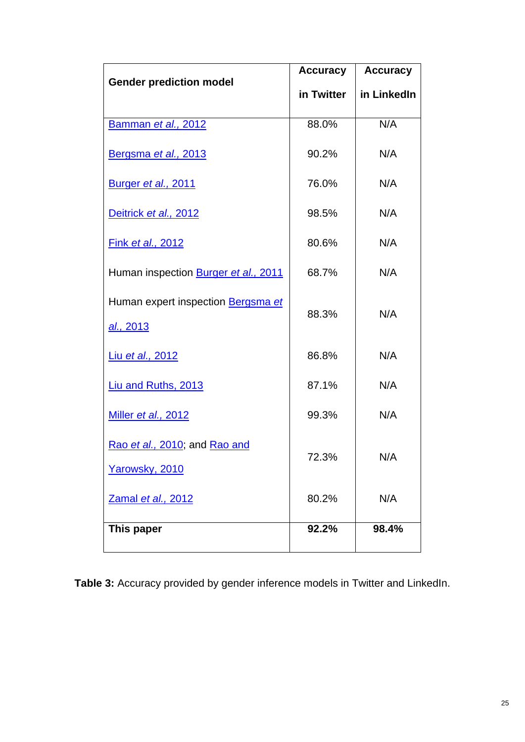|                                      | <b>Accuracy</b> | <b>Accuracy</b> |
|--------------------------------------|-----------------|-----------------|
| <b>Gender prediction model</b>       | in Twitter      | in LinkedIn     |
|                                      |                 |                 |
| Bamman et al., 2012                  | 88.0%           | N/A             |
| Bergsma et al., 2013                 | 90.2%           | N/A             |
| Burger et al., 2011                  | 76.0%           | N/A             |
| Deitrick et al., 2012                | 98.5%           | N/A             |
| <b>Fink et al., 2012</b>             | 80.6%           | N/A             |
| Human inspection Burger et al., 2011 | 68.7%           | N/A             |
| Human expert inspection Bergsma et   | 88.3%           | N/A             |
| al., 2013                            |                 |                 |
| Liu et al., 2012                     | 86.8%           | N/A             |
| Liu and Ruths, 2013                  | 87.1%           | N/A             |
| <b>Miller et al., 2012</b>           | 99.3%           | N/A             |
| Rao et al., 2010; and Rao and        | 72.3%           | N/A             |
| Yarowsky, 2010                       |                 |                 |
| Zamal et al., 2012                   | 80.2%           | N/A             |
| This paper                           | 92.2%           | 98.4%           |

Table 3: Accuracy provided by gender inference models in Twitter and LinkedIn.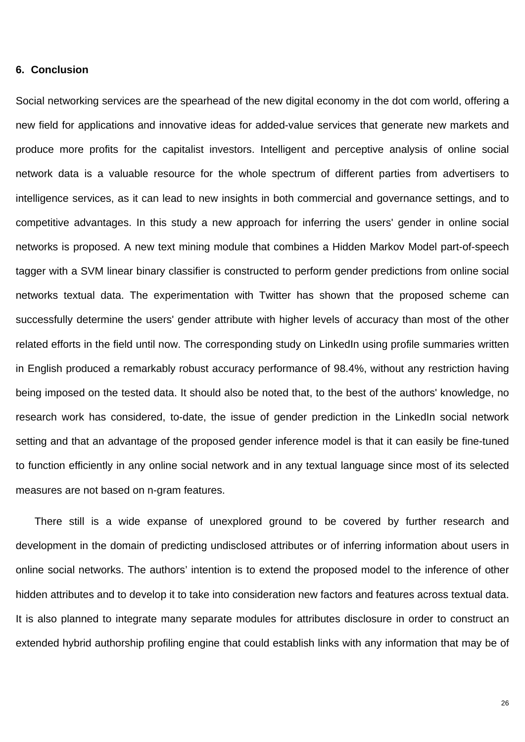## **6. Conclusion**

Social networking services are the spearhead of the new digital economy in the dot com world, offering a new field for applications and innovative ideas for added-value services that generate new markets and produce more profits for the capitalist investors. Intelligent and perceptive analysis of online social network data is a valuable resource for the whole spectrum of different parties from advertisers to intelligence services, as it can lead to new insights in both commercial and governance settings, and to competitive advantages. In this study a new approach for inferring the users' gender in online social networks is proposed. A new text mining module that combines a Hidden Markov Model part-of-speech tagger with a SVM linear binary classifier is constructed to perform gender predictions from online social networks textual data. The experimentation with Twitter has shown that the proposed scheme can successfully determine the users' gender attribute with higher levels of accuracy than most of the other related efforts in the field until now. The corresponding study on LinkedIn using profile summaries written in English produced a remarkably robust accuracy performance of 98.4%, without any restriction having being imposed on the tested data. It should also be noted that, to the best of the authors' knowledge, no research work has considered, to-date, the issue of gender prediction in the LinkedIn social network setting and that an advantage of the proposed gender inference model is that it can easily be fine-tuned to function efficiently in any online social network and in any textual language since most of its selected measures are not based on n-gram features.

There still is a wide expanse of unexplored ground to be covered by further research and development in the domain of predicting undisclosed attributes or of inferring information about users in online social networks. The authors' intention is to extend the proposed model to the inference of other hidden attributes and to develop it to take into consideration new factors and features across textual data. It is also planned to integrate many separate modules for attributes disclosure in order to construct an extended hybrid authorship profiling engine that could establish links with any information that may be of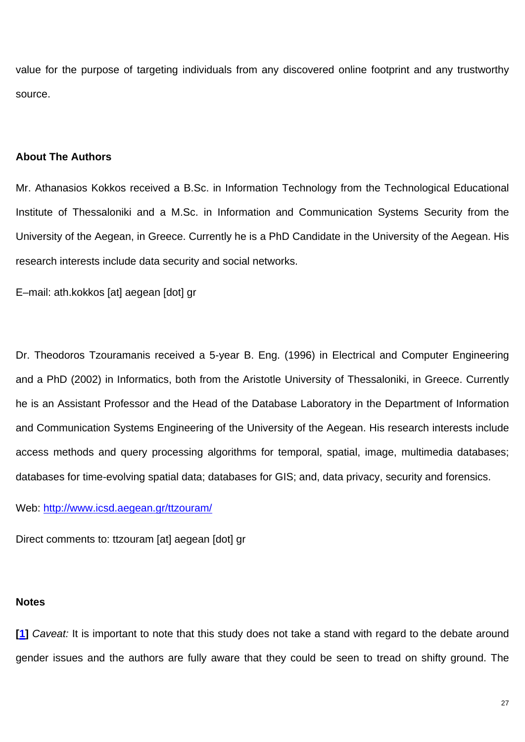value for the purpose of targeting individuals from any discovered online footprint and any trustworthy source.

## **About The Authors**

Mr. Athanasios Kokkos received a B.Sc. in Information Technology from the Technological Educational Institute of Thessaloniki and a M.Sc. in Information and Communication Systems Security from the University of the Aegean, in Greece. Currently he is a PhD Candidate in the University of the Aegean. His research interests include data security and social networks.

E–mail: ath.kokkos [at] aegean [dot] gr

Dr. Theodoros Tzouramanis received a 5-year B. Eng. (1996) in Electrical and Computer Engineering and a PhD (2002) in Informatics, both from the Aristotle University of Thessaloniki, in Greece. Currently he is an Assistant Professor and the Head of the Database Laboratory in the Department of Information and Communication Systems Engineering of the University of the Aegean. His research interests include access methods and query processing algorithms for temporal, spatial, image, multimedia databases; databases for time-evolving spatial data; databases for GIS; and, data privacy, security and forensics.

Web: http://www.icsd.aegean.gr/ttzouram/

Direct comments to: ttzouram [at] aegean [dot] gr

## **Notes**

**[1]** *Caveat:* It is important to note that this study does not take a stand with regard to the debate around gender issues and the authors are fully aware that they could be seen to tread on shifty ground. The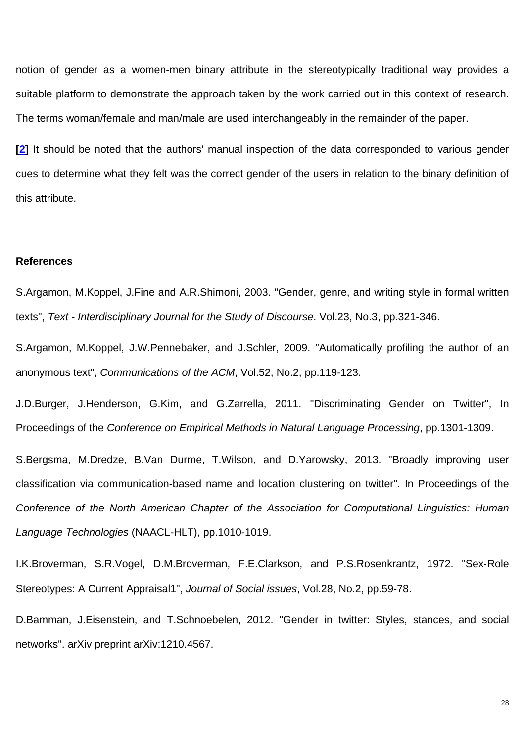notion of gender as a women-men binary attribute in the stereotypically traditional way provides a suitable platform to demonstrate the approach taken by the work carried out in this context of research. The terms woman/female and man/male are used interchangeably in the remainder of the paper.

**[2]** It should be noted that the authors' manual inspection of the data corresponded to various gender cues to determine what they felt was the correct gender of the users in relation to the binary definition of this attribute.

#### **References**

S.Argamon, M.Koppel, J.Fine and A.R.Shimoni, 2003. "Gender, genre, and writing style in formal written texts", *Text - Interdisciplinary Journal for the Study of Discourse*. Vol.23, No.3, pp.321-346.

S.Argamon, M.Koppel, J.W.Pennebaker, and J.Schler, 2009. "Automatically profiling the author of an anonymous text", *Communications of the ACM*, Vol.52, No.2, pp.119-123.

J.D.Burger, J.Henderson, G.Kim, and G.Zarrella, 2011. "Discriminating Gender on Twitter", In Proceedings of the *Conference on Empirical Methods in Natural Language Processing*, pp.1301-1309.

S.Bergsma, M.Dredze, B.Van Durme, T.Wilson, and D.Yarowsky, 2013. "Broadly improving user classification via communication-based name and location clustering on twitter". In Proceedings of the *Conference of the North American Chapter of the Association for Computational Linguistics: Human Language Technologies* (NAACL-HLT), pp.1010-1019.

I.K.Broverman, S.R.Vogel, D.M.Broverman, F.E.Clarkson, and P.S.Rosenkrantz, 1972. "Sex‐Role Stereotypes: A Current Appraisal1", *Journal of Social issues*, Vol.28, No.2, pp.59-78.

D.Bamman, J.Eisenstein, and T.Schnoebelen, 2012. "Gender in twitter: Styles, stances, and social networks". arXiv preprint arXiv:1210.4567.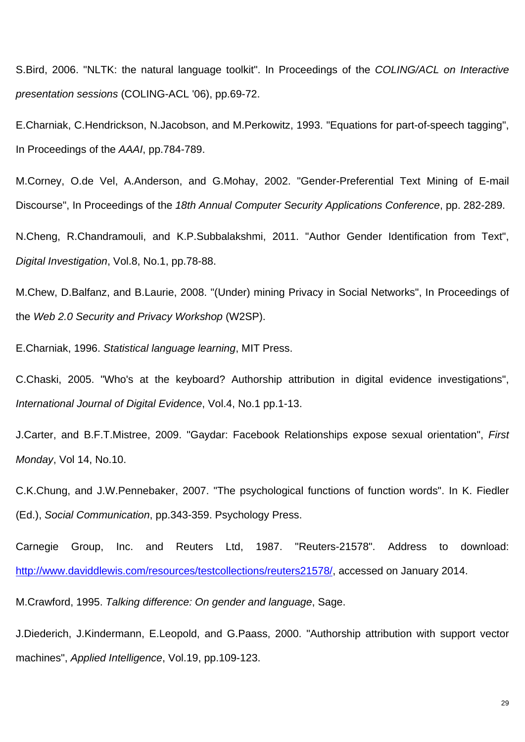S.Bird, 2006. "NLTK: the natural language toolkit". In Proceedings of the *COLING/ACL on Interactive presentation sessions* (COLING-ACL '06), pp.69-72.

E.Charniak, C.Hendrickson, N.Jacobson, and M.Perkowitz, 1993. "Equations for part-of-speech tagging", In Proceedings of the *AAAI*, pp.784-789.

M.Corney, O.de Vel, A.Anderson, and G.Mohay, 2002. "Gender-Preferential Text Mining of E-mail Discourse", In Proceedings of the *18th Annual Computer Security Applications Conference*, pp. 282-289.

N.Cheng, R.Chandramouli, and K.P.Subbalakshmi, 2011. "Author Gender Identification from Text", *Digital Investigation*, Vol.8, No.1, pp.78-88.

M.Chew, D.Balfanz, and B.Laurie, 2008. "(Under) mining Privacy in Social Networks", In Proceedings of the *Web 2.0 Security and Privacy Workshop* (W2SP).

E.Charniak, 1996. *Statistical language learning*, MIT Press.

C.Chaski, 2005. "Who's at the keyboard? Authorship attribution in digital evidence investigations", *International Journal of Digital Evidence*, Vol.4, No.1 pp.1-13.

J.Carter, and B.F.T.Mistree, 2009. "Gaydar: Facebook Relationships expose sexual orientation", *First Monday*, Vol 14, No.10.

C.K.Chung, and J.W.Pennebaker, 2007. "The psychological functions of function words". In K. Fiedler (Ed.), *Social Communication*, pp.343-359. Psychology Press.

Carnegie Group, Inc. and Reuters Ltd, 1987. "Reuters-21578". Address to download: http://www.daviddlewis.com/resources/testcollections/reuters21578/, accessed on January 2014.

M.Crawford, 1995. *Talking difference: On gender and language*, Sage.

J.Diederich, J.Kindermann, E.Leopold, and G.Paass, 2000. "Authorship attribution with support vector machines", *Applied Intelligence*, Vol.19, pp.109-123.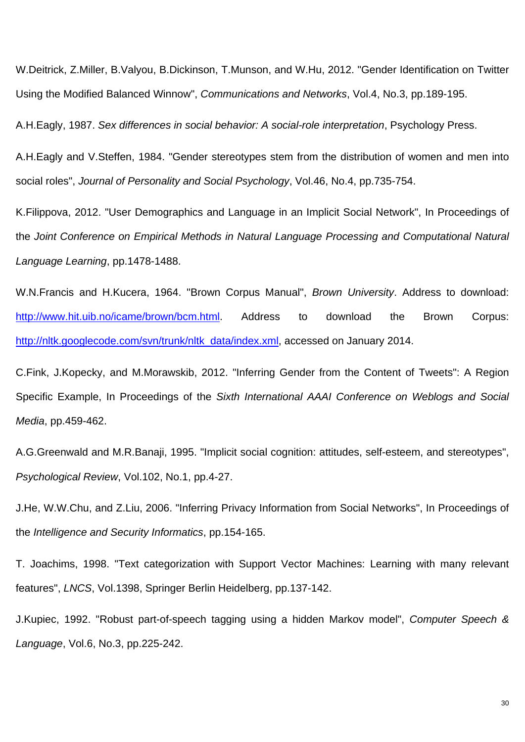W.Deitrick, Z.Miller, B.Valyou, B.Dickinson, T.Munson, and W.Hu, 2012. "Gender Identification on Twitter Using the Modified Balanced Winnow", *Communications and Networks*, Vol.4, No.3, pp.189-195.

A.H.Eagly, 1987. *Sex differences in social behavior: A social-role interpretation*, Psychology Press.

A.H.Eagly and V.Steffen, 1984. "Gender stereotypes stem from the distribution of women and men into social roles", *Journal of Personality and Social Psychology*, Vol.46, No.4, pp.735-754.

K.Filippova, 2012. "User Demographics and Language in an Implicit Social Network", In Proceedings of the *Joint Conference on Empirical Methods in Natural Language Processing and Computational Natural Language Learning*, pp.1478-1488.

W.N.Francis and H.Kucera, 1964. "Brown Corpus Manual", *Brown University*. Address to download: http://www.hit.uib.no/icame/brown/bcm.html. Address to download the Brown Corpus: http://nltk.googlecode.com/svn/trunk/nltk\_data/index.xml, accessed on January 2014.

C.Fink, J.Kopecky, and M.Morawskib, 2012. "Inferring Gender from the Content of Tweets": A Region Specific Example, In Proceedings of the *Sixth International AAAI Conference on Weblogs and Social Media*, pp.459-462.

A.G.Greenwald and M.R.Banaji, 1995. "Implicit social cognition: attitudes, self-esteem, and stereotypes", *Psychological Review*, Vol.102, No.1, pp.4-27.

J.He, W.W.Chu, and Z.Liu, 2006. "Inferring Privacy Information from Social Networks", In Proceedings of the *Intelligence and Security Informatics*, pp.154-165.

T. Joachims, 1998. "Text categorization with Support Vector Machines: Learning with many relevant features", *LNCS*, Vol.1398, Springer Berlin Heidelberg, pp.137-142.

J.Kupiec, 1992. "Robust part-of-speech tagging using a hidden Markov model", *Computer Speech & Language*, Vol.6, No.3, pp.225-242.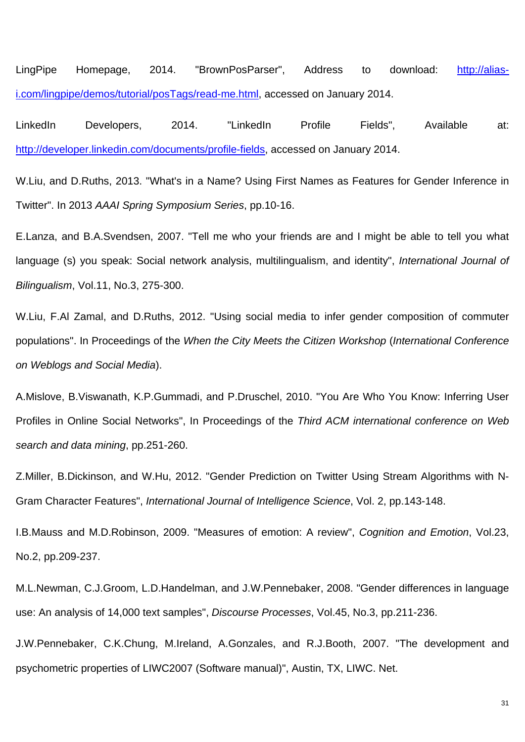LingPipe Homepage, 2014. "BrownPosParser", Address to download: http://aliasi.com/lingpipe/demos/tutorial/posTags/read-me.html, accessed on January 2014.

LinkedIn Developers, 2014. "LinkedIn Profile Fields", Available at: http://developer.linkedin.com/documents/profile-fields, accessed on January 2014.

W.Liu, and D.Ruths, 2013. "What's in a Name? Using First Names as Features for Gender Inference in Twitter". In 2013 *AAAI Spring Symposium Series*, pp.10-16.

E.Lanza, and B.A.Svendsen, 2007. "Tell me who your friends are and I might be able to tell you what language (s) you speak: Social network analysis, multilingualism, and identity", *International Journal of Bilingualism*, Vol.11, No.3, 275-300.

W.Liu, F.Al Zamal, and D.Ruths, 2012. "Using social media to infer gender composition of commuter populations". In Proceedings of the *When the City Meets the Citizen Workshop* (*International Conference on Weblogs and Social Media*).

A.Mislove, B.Viswanath, K.P.Gummadi, and P.Druschel, 2010. "You Are Who You Know: Inferring User Profiles in Online Social Networks", In Proceedings of the *Third ACM international conference on Web search and data mining*, pp.251-260.

Z.Miller, B.Dickinson, and W.Hu, 2012. "Gender Prediction on Twitter Using Stream Algorithms with N-Gram Character Features", *International Journal of Intelligence Science*, Vol. 2, pp.143-148.

I.B.Mauss and M.D.Robinson, 2009. "Measures of emotion: A review", *Cognition and Emotion*, Vol.23, No.2, pp.209-237.

M.L.Newman, C.J.Groom, L.D.Handelman, and J.W.Pennebaker, 2008. "Gender differences in language use: An analysis of 14,000 text samples", *Discourse Processes*, Vol.45, No.3, pp.211-236.

J.W.Pennebaker, C.K.Chung, M.Ireland, A.Gonzales, and R.J.Booth, 2007. "The development and psychometric properties of LIWC2007 (Software manual)", Austin, TX, LIWC. Net.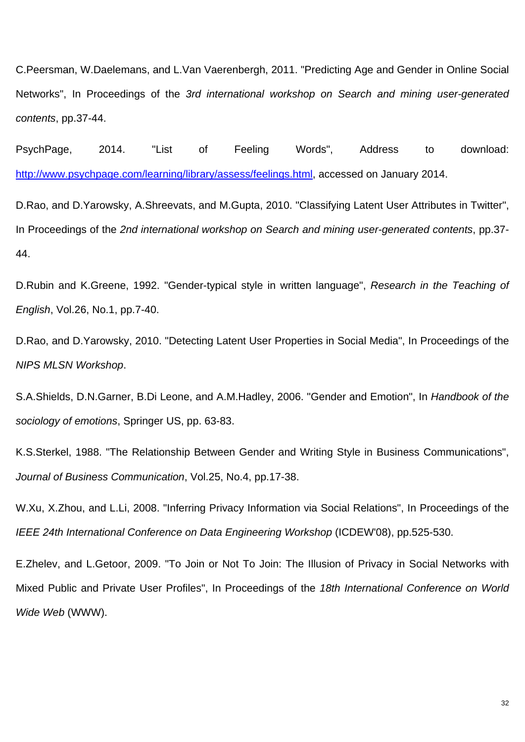C.Peersman, W.Daelemans, and L.Van Vaerenbergh, 2011. "Predicting Age and Gender in Online Social Networks", In Proceedings of the *3rd international workshop on Search and mining user-generated contents*, pp.37-44.

PsychPage, 2014. "List of Feeling Words", Address to download: http://www.psychpage.com/learning/library/assess/feelings.html, accessed on January 2014.

D.Rao, and D.Yarowsky, A.Shreevats, and M.Gupta, 2010. "Classifying Latent User Attributes in Twitter", In Proceedings of the *2nd international workshop on Search and mining user-generated contents*, pp.37- 44.

D.Rubin and K.Greene, 1992. "Gender-typical style in written language", *Research in the Teaching of English*, Vol.26, No.1, pp.7-40.

D.Rao, and D.Yarowsky, 2010. "Detecting Latent User Properties in Social Media", In Proceedings of the *NIPS MLSN Workshop*.

S.A.Shields, D.N.Garner, B.Di Leone, and A.M.Hadley, 2006. "Gender and Emotion", In *Handbook of the sociology of emotions*, Springer US, pp. 63-83.

K.S.Sterkel, 1988. "The Relationship Between Gender and Writing Style in Business Communications", *Journal of Business Communication*, Vol.25, No.4, pp.17-38.

W.Xu, X.Zhou, and L.Li, 2008. "Inferring Privacy Information via Social Relations", In Proceedings of the *IEEE 24th International Conference on Data Engineering Workshop* (ICDEW'08), pp.525-530.

E.Zhelev, and L.Getoor, 2009. "To Join or Not To Join: The Illusion of Privacy in Social Networks with Mixed Public and Private User Profiles", In Proceedings of the *18th International Conference on World Wide Web* (WWW).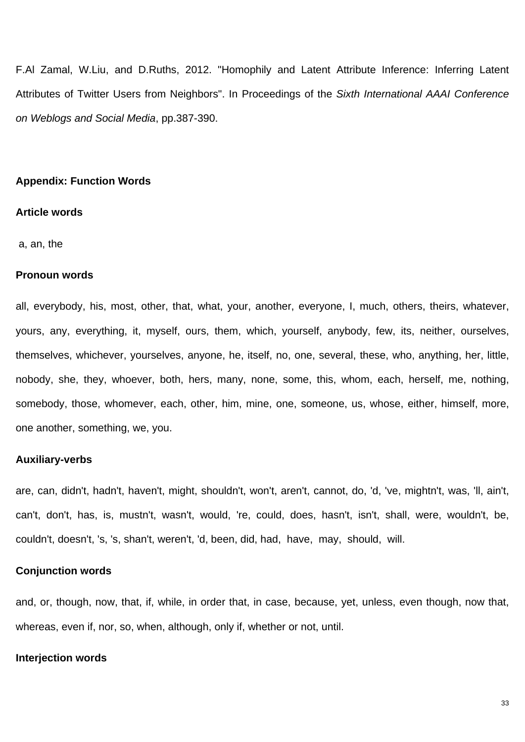F.Al Zamal, W.Liu, and D.Ruths, 2012. "Homophily and Latent Attribute Inference: Inferring Latent Attributes of Twitter Users from Neighbors". In Proceedings of the *Sixth International AAAI Conference on Weblogs and Social Media*, pp.387-390.

## **Appendix: Function Words**

#### **Article words**

a, an, the

### **Pronoun words**

all, everybody, his, most, other, that, what, your, another, everyone, I, much, others, theirs, whatever, yours, any, everything, it, myself, ours, them, which, yourself, anybody, few, its, neither, ourselves, themselves, whichever, yourselves, anyone, he, itself, no, one, several, these, who, anything, her, little, nobody, she, they, whoever, both, hers, many, none, some, this, whom, each, herself, me, nothing, somebody, those, whomever, each, other, him, mine, one, someone, us, whose, either, himself, more, one another, something, we, you.

## **Auxiliary-verbs**

are, can, didn't, hadn't, haven't, might, shouldn't, won't, aren't, cannot, do, 'd, 've, mightn't, was, 'll, ain't, can't, don't, has, is, mustn't, wasn't, would, 're, could, does, hasn't, isn't, shall, were, wouldn't, be, couldn't, doesn't, 's, 's, shan't, weren't, 'd, been, did, had, have, may, should, will.

#### **Conjunction words**

and, or, though, now, that, if, while, in order that, in case, because, yet, unless, even though, now that, whereas, even if, nor, so, when, although, only if, whether or not, until.

#### **Interjection words**